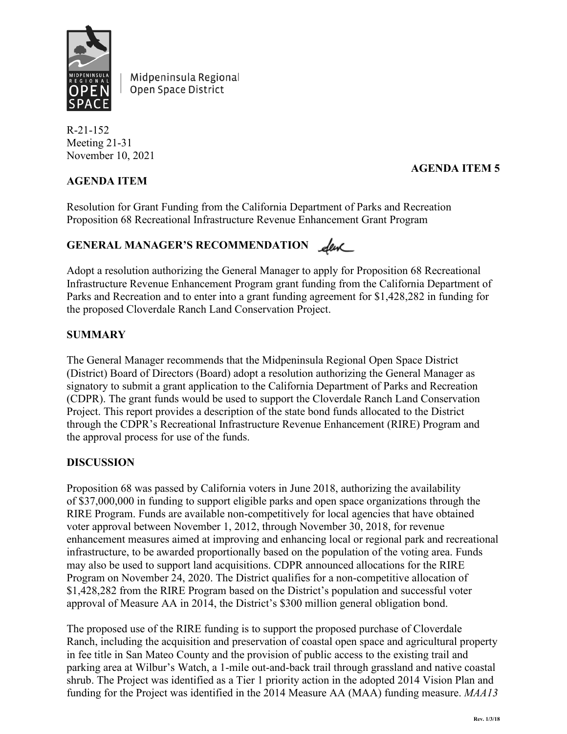

Midpeninsula Regional Open Space District

R-21-152 Meeting 21-31 November 10, 2021

# **AGENDA ITEM**

# **AGENDA ITEM 5**

Resolution for Grant Funding from the California Department of Parks and Recreation Proposition 68 Recreational Infrastructure Revenue Enhancement Grant Program

# GENERAL MANAGER'S RECOMMENDATION **Leve**

Adopt a resolution authorizing the General Manager to apply for Proposition 68 Recreational Infrastructure Revenue Enhancement Program grant funding from the California Department of Parks and Recreation and to enter into a grant funding agreement for \$1,428,282 in funding for the proposed Cloverdale Ranch Land Conservation Project.

### **SUMMARY**

The General Manager recommends that the Midpeninsula Regional Open Space District (District) Board of Directors (Board) adopt a resolution authorizing the General Manager as signatory to submit a grant application to the California Department of Parks and Recreation (CDPR). The grant funds would be used to support the Cloverdale Ranch Land Conservation Project. This report provides a description of the state bond funds allocated to the District through the CDPR's Recreational Infrastructure Revenue Enhancement (RIRE) Program and the approval process for use of the funds.

### **DISCUSSION**

Proposition 68 was passed by California voters in June 2018, authorizing the availability of \$37,000,000 in funding to support eligible parks and open space organizations through the RIRE Program. Funds are available non-competitively for local agencies that have obtained voter approval between November 1, 2012, through November 30, 2018, for revenue enhancement measures aimed at improving and enhancing local or regional park and recreational infrastructure, to be awarded proportionally based on the population of the voting area. Funds may also be used to support land acquisitions. CDPR announced allocations for the RIRE Program on November 24, 2020. The District qualifies for a non-competitive allocation of \$1,428,282 from the RIRE Program based on the District's population and successful voter approval of Measure AA in 2014, the District's \$300 million general obligation bond.

The proposed use of the RIRE funding is to support the proposed purchase of Cloverdale Ranch, including the acquisition and preservation of coastal open space and agricultural property in fee title in San Mateo County and the provision of public access to the existing trail and parking area at Wilbur's Watch, a 1-mile out-and-back trail through grassland and native coastal shrub. The Project was identified as a Tier 1 priority action in the adopted 2014 Vision Plan and funding for the Project was identified in the 2014 Measure AA (MAA) funding measure. *MAA13*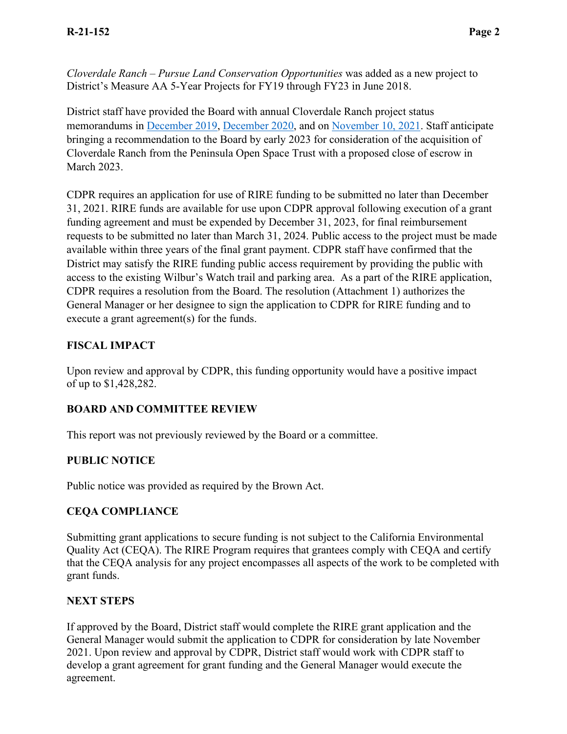*Cloverdale Ranch – Pursue Land Conservation Opportunities* was added as a new project to District's Measure AA 5-Year Projects for FY19 through FY23 in June 2018.

District staff have provided the Board with annual Cloverdale Ranch project status memorandums in [December 2019,](https://www.openspace.org/sites/default/files/20191211_FYI_Cloverdale.pdf) [December 2020,](https://www.openspace.org/sites/default/files/20201209_FYI_Cloverdale.pdf) and on [November 10, 2021.](https://www.openspace.org/sites/default/files/20211110_FYI_CloverdaleExistingConditions.pdf) Staff anticipate bringing a recommendation to the Board by early 2023 for consideration of the acquisition of Cloverdale Ranch from the Peninsula Open Space Trust with a proposed close of escrow in March 2023.

CDPR requires an application for use of RIRE funding to be submitted no later than December 31, 2021. RIRE funds are available for use upon CDPR approval following execution of a grant funding agreement and must be expended by December 31, 2023, for final reimbursement requests to be submitted no later than March 31, 2024. Public access to the project must be made available within three years of the final grant payment. CDPR staff have confirmed that the District may satisfy the RIRE funding public access requirement by providing the public with access to the existing Wilbur's Watch trail and parking area. As a part of the RIRE application, CDPR requires a resolution from the Board. The resolution (Attachment 1) authorizes the General Manager or her designee to sign the application to CDPR for RIRE funding and to execute a grant agreement(s) for the funds.

### **FISCAL IMPACT**

Upon review and approval by CDPR, this funding opportunity would have a positive impact of up to \$1,428,282.

### **BOARD AND COMMITTEE REVIEW**

This report was not previously reviewed by the Board or a committee.

### **PUBLIC NOTICE**

Public notice was provided as required by the Brown Act.

### **CEQA COMPLIANCE**

Submitting grant applications to secure funding is not subject to the California Environmental Quality Act (CEQA). The RIRE Program requires that grantees comply with CEQA and certify that the CEQA analysis for any project encompasses all aspects of the work to be completed with grant funds.

### **NEXT STEPS**

If approved by the Board, District staff would complete the RIRE grant application and the General Manager would submit the application to CDPR for consideration by late November 2021. Upon review and approval by CDPR, District staff would work with CDPR staff to develop a grant agreement for grant funding and the General Manager would execute the agreement.